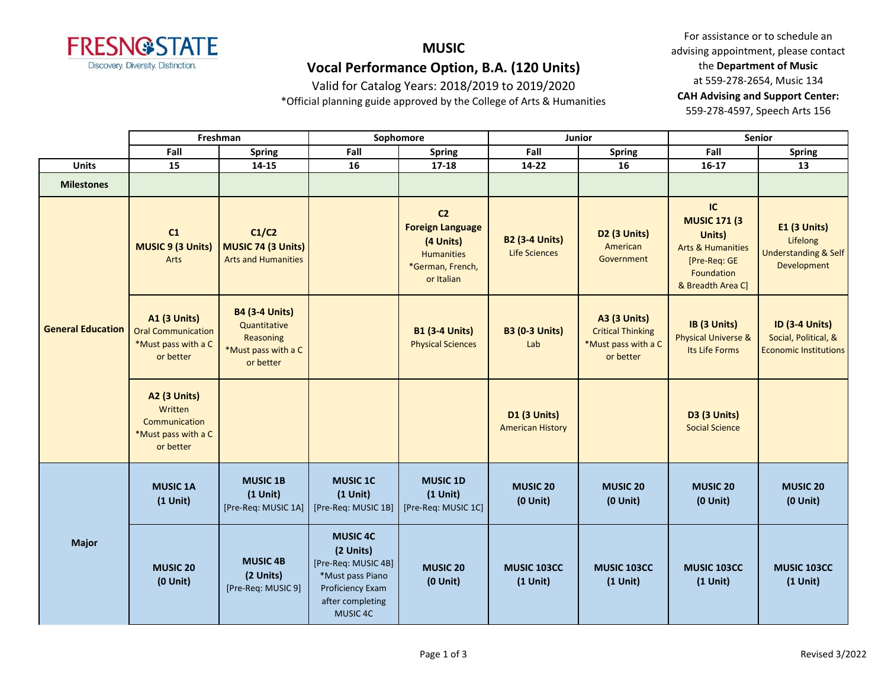

#### **MUSIC Vocal Performance Option, B.A. (120 Units)**

Valid for Catalog Years: 2018/2019 to 2019/2020

\*Official planning guide approved by the College of Arts & Humanities

|                          |                                                                                      | Freshman                                                                               |                                                                                                                             | Sophomore                                                                                                     |                                                | Junior                                                                              |                                                                                                                        | Senior                                                                        |
|--------------------------|--------------------------------------------------------------------------------------|----------------------------------------------------------------------------------------|-----------------------------------------------------------------------------------------------------------------------------|---------------------------------------------------------------------------------------------------------------|------------------------------------------------|-------------------------------------------------------------------------------------|------------------------------------------------------------------------------------------------------------------------|-------------------------------------------------------------------------------|
|                          | Fall                                                                                 | <b>Spring</b>                                                                          | Fall                                                                                                                        | <b>Spring</b>                                                                                                 | Fall                                           | Spring                                                                              | Fall                                                                                                                   | <b>Spring</b>                                                                 |
| <b>Units</b>             | 15                                                                                   | $14 - 15$                                                                              | 16                                                                                                                          | $17 - 18$                                                                                                     | 14-22                                          | 16                                                                                  | $16 - 17$                                                                                                              | 13                                                                            |
| <b>Milestones</b>        |                                                                                      |                                                                                        |                                                                                                                             |                                                                                                               |                                                |                                                                                     |                                                                                                                        |                                                                               |
|                          | C1<br><b>MUSIC 9 (3 Units)</b><br>Arts                                               | C1/C2<br>MUSIC 74 (3 Units)<br><b>Arts and Humanities</b>                              |                                                                                                                             | C <sub>2</sub><br><b>Foreign Language</b><br>(4 Units)<br><b>Humanities</b><br>*German, French,<br>or Italian | <b>B2 (3-4 Units)</b><br><b>Life Sciences</b>  | D <sub>2</sub> (3 Units)<br>American<br>Government                                  | IC<br><b>MUSIC 171 (3</b><br>Units)<br><b>Arts &amp; Humanities</b><br>[Pre-Req: GE<br>Foundation<br>& Breadth Area C] | E1 (3 Units)<br>Lifelong<br><b>Understanding &amp; Self</b><br>Development    |
| <b>General Education</b> | <b>A1 (3 Units)</b><br><b>Oral Communication</b><br>*Must pass with a C<br>or better | <b>B4 (3-4 Units)</b><br>Quantitative<br>Reasoning<br>*Must pass with a C<br>or better |                                                                                                                             | <b>B1 (3-4 Units)</b><br><b>Physical Sciences</b>                                                             | <b>B3 (0-3 Units)</b><br>Lab                   | <b>A3 (3 Units)</b><br><b>Critical Thinking</b><br>*Must pass with a C<br>or better | IB (3 Units)<br><b>Physical Universe &amp;</b><br>Its Life Forms                                                       | <b>ID (3-4 Units)</b><br>Social, Political, &<br><b>Economic Institutions</b> |
|                          | <b>A2 (3 Units)</b><br>Written<br>Communication<br>*Must pass with a C<br>or better  |                                                                                        |                                                                                                                             |                                                                                                               | <b>D1 (3 Units)</b><br><b>American History</b> |                                                                                     | D3 (3 Units)<br><b>Social Science</b>                                                                                  |                                                                               |
|                          | <b>MUSIC 1A</b><br>$(1$ Unit)                                                        | <b>MUSIC 1B</b><br>$(1$ Unit)<br>[Pre-Req: MUSIC 1A]                                   | <b>MUSIC 1C</b><br>$(1$ Unit)<br>[Pre-Req: MUSIC 1B]                                                                        | <b>MUSIC 1D</b><br>$(1$ Unit)<br>[Pre-Req: MUSIC 1C]                                                          | <b>MUSIC 20</b><br>$(0$ Unit $)$               | <b>MUSIC 20</b><br>$(0$ Unit $)$                                                    | <b>MUSIC 20</b><br>$(0$ Unit $)$                                                                                       | <b>MUSIC 20</b><br>$(0$ Unit $)$                                              |
| <b>Major</b>             | <b>MUSIC 20</b><br>$(0$ Unit)                                                        | <b>MUSIC 4B</b><br>(2 Units)<br>[Pre-Req: MUSIC 9]                                     | <b>MUSIC 4C</b><br>(2 Units)<br>[Pre-Req: MUSIC 4B]<br>*Must pass Piano<br>Proficiency Exam<br>after completing<br>MUSIC 4C | <b>MUSIC 20</b><br>$(0$ Unit $)$                                                                              | <b>MUSIC 103CC</b><br>$(1$ Unit)               | <b>MUSIC 103CC</b><br>$(1$ Unit)                                                    | MUSIC 103CC<br>$(1$ Unit)                                                                                              | MUSIC 103CC<br>$(1$ Unit)                                                     |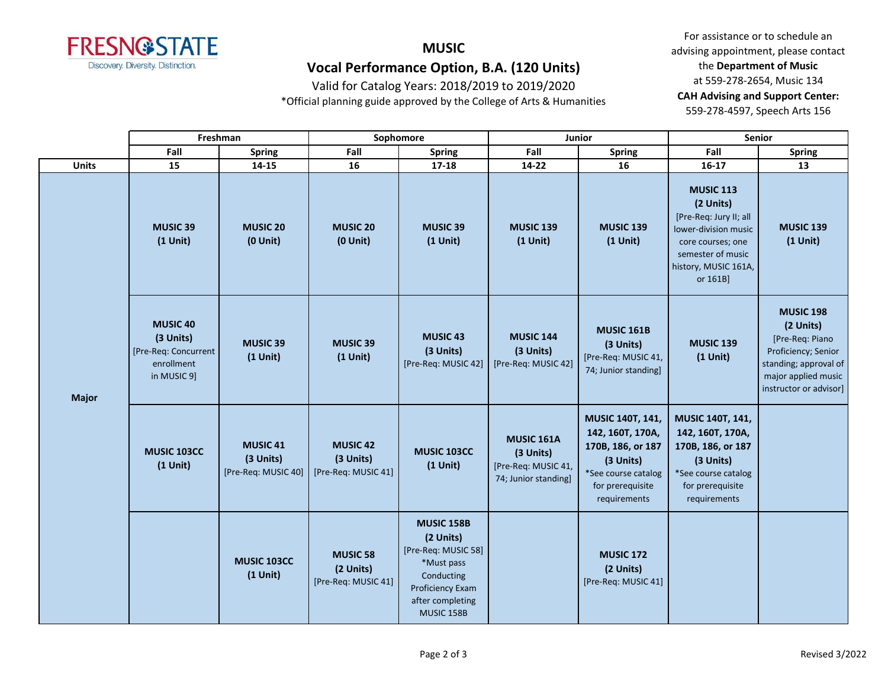

## **MUSIC Vocal Performance Option, B.A. (120 Units)**

Valid for Catalog Years: 2018/2019 to 2019/2020

\*Official planning guide approved by the College of Arts & Humanities

|              |                                                                            | Freshman                                                | Sophomore                                           |                                                                                                                                  |                                                                               | Junior                                                                                                                                   | Senior                                                                                                                                                        |                                                                                                                                                   |  |
|--------------|----------------------------------------------------------------------------|---------------------------------------------------------|-----------------------------------------------------|----------------------------------------------------------------------------------------------------------------------------------|-------------------------------------------------------------------------------|------------------------------------------------------------------------------------------------------------------------------------------|---------------------------------------------------------------------------------------------------------------------------------------------------------------|---------------------------------------------------------------------------------------------------------------------------------------------------|--|
|              | Fall                                                                       | <b>Spring</b>                                           | Fall                                                | <b>Spring</b>                                                                                                                    | Fall                                                                          | <b>Spring</b>                                                                                                                            | Fall                                                                                                                                                          | <b>Spring</b>                                                                                                                                     |  |
| <b>Units</b> | 15                                                                         | 14-15                                                   | 16                                                  | 17-18                                                                                                                            | $14 - 22$                                                                     | 16                                                                                                                                       | $16 - 17$                                                                                                                                                     | 13                                                                                                                                                |  |
|              | <b>MUSIC 39</b><br>$(1$ Unit)                                              | <b>MUSIC 20</b><br>$(0$ Unit)                           | <b>MUSIC 20</b><br>$(0$ Unit $)$                    | <b>MUSIC 39</b><br>$(1$ Unit)                                                                                                    | <b>MUSIC 139</b><br>$(1$ Unit)                                                | <b>MUSIC 139</b><br>$(1$ Unit)                                                                                                           | <b>MUSIC 113</b><br>(2 Units)<br>[Pre-Req: Jury II; all<br>lower-division music<br>core courses; one<br>semester of music<br>history, MUSIC 161A,<br>or 161B] | <b>MUSIC 139</b><br>$(1$ Unit)                                                                                                                    |  |
| <b>Major</b> | MUSIC 40<br>(3 Units)<br>[Pre-Req: Concurrent<br>enrollment<br>in MUSIC 9] | <b>MUSIC 39</b><br>$(1$ Unit)                           | <b>MUSIC 39</b><br>$(1$ Unit)                       | <b>MUSIC 43</b><br>(3 Units)<br>[Pre-Req: MUSIC 42]                                                                              | <b>MUSIC 144</b><br>(3 Units)<br>[Pre-Req: MUSIC 42]                          | <b>MUSIC 161B</b><br>(3 Units)<br>[Pre-Req: MUSIC 41,<br>74; Junior standing]                                                            | <b>MUSIC 139</b><br>$(1$ Unit)                                                                                                                                | <b>MUSIC 198</b><br>(2 Units)<br>[Pre-Req: Piano<br>Proficiency; Senior<br>standing; approval of<br>major applied music<br>instructor or advisor] |  |
|              | <b>MUSIC 103CC</b><br>$(1$ Unit)                                           | MUSIC <sub>41</sub><br>(3 Units)<br>[Pre-Req: MUSIC 40] | <b>MUSIC 42</b><br>(3 Units)<br>[Pre-Req: MUSIC 41] | MUSIC 103CC<br>$(1$ Unit)                                                                                                        | <b>MUSIC 161A</b><br>(3 Units)<br>[Pre-Req: MUSIC 41,<br>74; Junior standing] | <b>MUSIC 140T, 141,</b><br>142, 160T, 170A,<br>170B, 186, or 187<br>(3 Units)<br>*See course catalog<br>for prerequisite<br>requirements | MUSIC 140T, 141,<br>142, 160T, 170A,<br>170B, 186, or 187<br>(3 Units)<br>*See course catalog<br>for prerequisite<br>requirements                             |                                                                                                                                                   |  |
|              |                                                                            | MUSIC 103CC<br>$(1$ Unit)                               | <b>MUSIC 58</b><br>(2 Units)<br>[Pre-Req: MUSIC 41] | MUSIC 158B<br>(2 Units)<br>[Pre-Req: MUSIC 58]<br>*Must pass<br>Conducting<br>Proficiency Exam<br>after completing<br>MUSIC 158B |                                                                               | <b>MUSIC 172</b><br>(2 Units)<br>[Pre-Req: MUSIC 41]                                                                                     |                                                                                                                                                               |                                                                                                                                                   |  |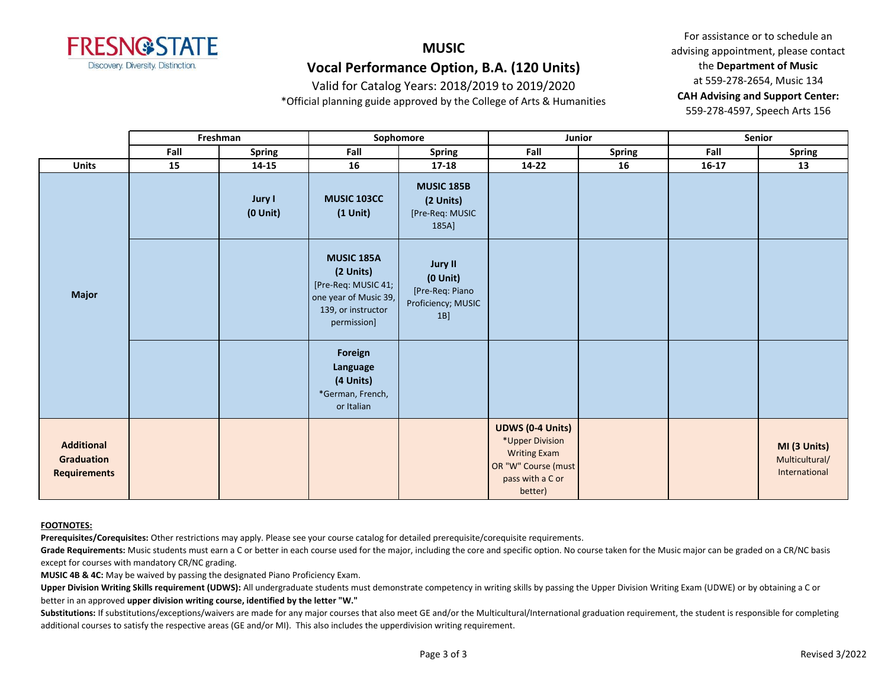

#### **MUSIC Vocal Performance Option, B.A. (120 Units)**

Valid for Catalog Years: 2018/2019 to 2019/2020

\*Official planning guide approved by the College of Arts & Humanities

For assistance or to schedule an advising appointment, please contact the **Department of Music** at 559-278-2654, Music 134 **CAH Advising and Support Center:**  559-278-4597, Speech Arts 156

|                                                               | Freshman |                         | Sophomore                                                                                                           |                                                                                |                                                                                                                         | Junior        | Senior    |                                                 |
|---------------------------------------------------------------|----------|-------------------------|---------------------------------------------------------------------------------------------------------------------|--------------------------------------------------------------------------------|-------------------------------------------------------------------------------------------------------------------------|---------------|-----------|-------------------------------------------------|
|                                                               | Fall     | <b>Spring</b>           | Fall                                                                                                                | <b>Spring</b>                                                                  | Fall                                                                                                                    | <b>Spring</b> | Fall      | <b>Spring</b>                                   |
| <b>Units</b>                                                  | 15       | $14 - 15$               | 16                                                                                                                  | $17 - 18$                                                                      | $14 - 22$                                                                                                               | 16            | $16 - 17$ | 13                                              |
| <b>Major</b>                                                  |          | Jury I<br>$(0$ Unit $)$ | <b>MUSIC 103CC</b><br>$(1$ Unit $)$                                                                                 | <b>MUSIC 185B</b><br>(2 Units)<br>[Pre-Req: MUSIC<br>185A]                     |                                                                                                                         |               |           |                                                 |
|                                                               |          |                         | <b>MUSIC 185A</b><br>(2 Units)<br>[Pre-Req: MUSIC 41;<br>one year of Music 39,<br>139, or instructor<br>permission] | <b>Jury II</b><br>$(0$ Unit $)$<br>[Pre-Req: Piano<br>Proficiency; MUSIC<br>1B |                                                                                                                         |               |           |                                                 |
|                                                               |          |                         | Foreign<br>Language<br>(4 Units)<br>*German, French,<br>or Italian                                                  |                                                                                |                                                                                                                         |               |           |                                                 |
| <b>Additional</b><br><b>Graduation</b><br><b>Requirements</b> |          |                         |                                                                                                                     |                                                                                | <b>UDWS (0-4 Units)</b><br>*Upper Division<br><b>Writing Exam</b><br>OR "W" Course (must<br>pass with a C or<br>better) |               |           | MI (3 Units)<br>Multicultural/<br>International |

#### **FOOTNOTES:**

**Prerequisites/Corequisites:** Other restrictions may apply. Please see your course catalog for detailed prerequisite/corequisite requirements.

Grade Requirements: Music students must earn a C or better in each course used for the major, including the core and specific option. No course taken for the Music major can be graded on a CR/NC basis except for courses with mandatory CR/NC grading.

**MUSIC 4B & 4C:** May be waived by passing the designated Piano Proficiency Exam.

Upper Division Writing Skills requirement (UDWS): All undergraduate students must demonstrate competency in writing skills by passing the Upper Division Writing Exam (UDWE) or by obtaining a C or better in an approved **upper division writing course, identified by the letter "W."**

Substitutions: If substitutions/exceptions/waivers are made for any major courses that also meet GE and/or the Multicultural/International graduation requirement, the student is responsible for completing additional courses to satisfy the respective areas (GE and/or MI). This also includes the upperdivision writing requirement.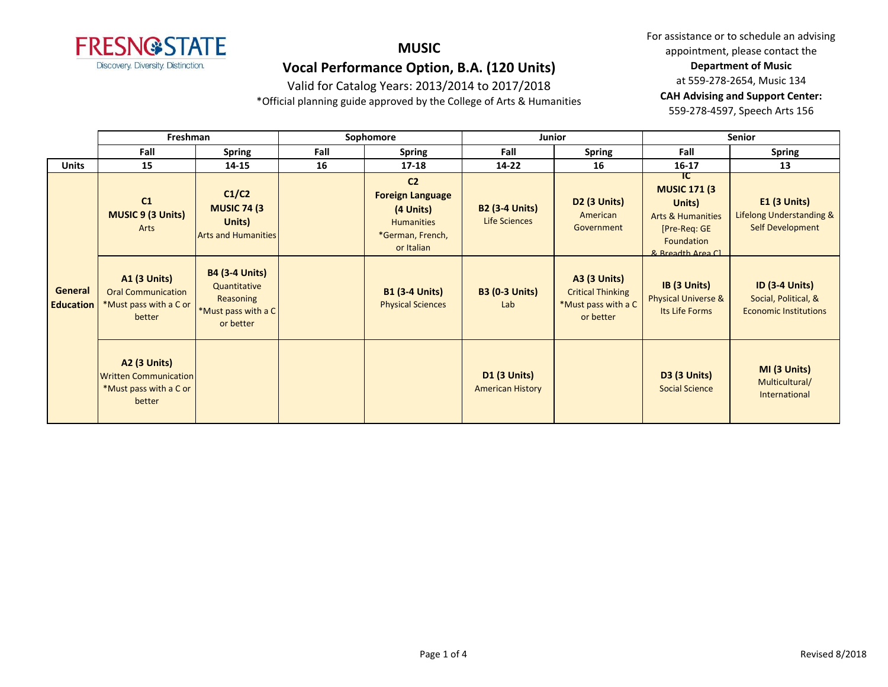

## **Vocal Performance Option, B.A. (120 Units)**

Valid for Catalog Years: 2013/2014 to 2017/2018

\*Official planning guide approved by the College of Arts & Humanities

|                             | Freshman                                                                                |                                                                                        | Sophomore |                                                                                                               | Junior                                         |                                                                                     | <b>Senior</b>                                                                                                             |                                                                               |
|-----------------------------|-----------------------------------------------------------------------------------------|----------------------------------------------------------------------------------------|-----------|---------------------------------------------------------------------------------------------------------------|------------------------------------------------|-------------------------------------------------------------------------------------|---------------------------------------------------------------------------------------------------------------------------|-------------------------------------------------------------------------------|
|                             | Fall                                                                                    | <b>Spring</b>                                                                          | Fall      | <b>Spring</b>                                                                                                 | Fall                                           | <b>Spring</b>                                                                       | Fall                                                                                                                      | <b>Spring</b>                                                                 |
| <b>Units</b>                | 15                                                                                      | 14-15                                                                                  | 16        | $17 - 18$                                                                                                     | 14-22                                          | 16                                                                                  | $16 - 17$                                                                                                                 | 13                                                                            |
|                             | C1<br><b>MUSIC 9 (3 Units)</b><br>Arts                                                  | C1/C2<br><b>MUSIC 74 (3)</b><br>Units)<br><b>Arts and Humanities</b>                   |           | C <sub>2</sub><br><b>Foreign Language</b><br>(4 Units)<br><b>Humanities</b><br>*German, French,<br>or Italian | <b>B2 (3-4 Units)</b><br>Life Sciences         | <b>D2 (3 Units)</b><br>American<br>Government                                       | IC.<br><b>MUSIC 171 (3)</b><br>Units)<br><b>Arts &amp; Humanities</b><br>[Pre-Reg: GE<br>Foundation<br>8. Rreadth Area Cl | $E1$ (3 Units)<br>Lifelong Understanding &<br>Self Development                |
| General<br><b>Education</b> | <b>A1 (3 Units)</b><br><b>Oral Communication</b><br>*Must pass with a C or<br>better    | <b>B4 (3-4 Units)</b><br>Quantitative<br>Reasoning<br>*Must pass with a C<br>or better |           | <b>B1 (3-4 Units)</b><br><b>Physical Sciences</b>                                                             | <b>B3 (0-3 Units)</b><br>Lab                   | <b>A3 (3 Units)</b><br><b>Critical Thinking</b><br>*Must pass with a C<br>or better | IB (3 Units)<br><b>Physical Universe &amp;</b><br>Its Life Forms                                                          | <b>ID (3-4 Units)</b><br>Social, Political, &<br><b>Economic Institutions</b> |
|                             | <b>A2 (3 Units)</b><br><b>Written Communication</b><br>*Must pass with a C or<br>better |                                                                                        |           |                                                                                                               | <b>D1 (3 Units)</b><br><b>American History</b> |                                                                                     | <b>D3 (3 Units)</b><br><b>Social Science</b>                                                                              | MI (3 Units)<br>Multicultural/<br>International                               |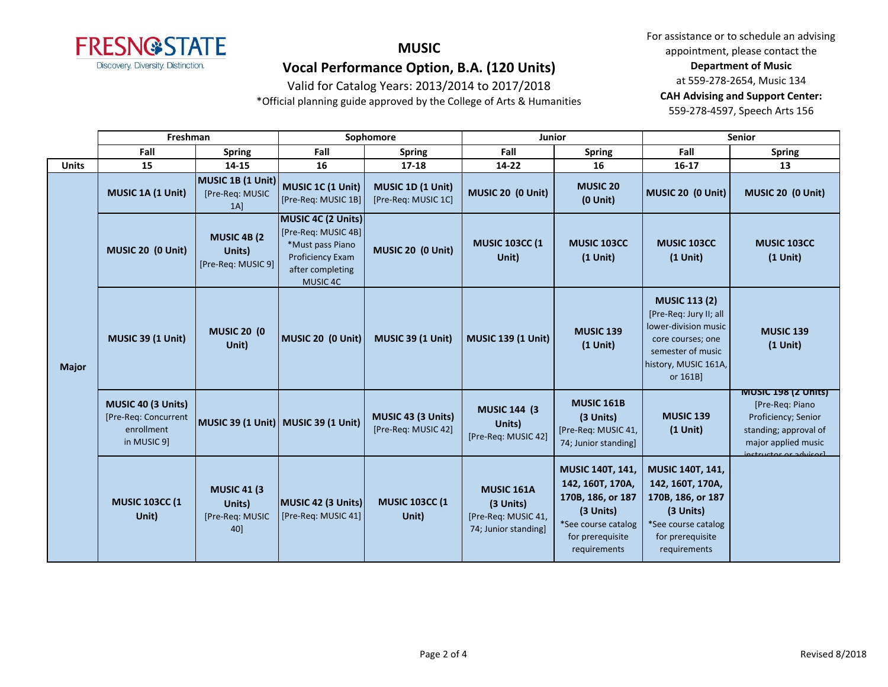

## **Vocal Performance Option, B.A. (120 Units)**

Valid for Catalog Years: 2013/2014 to 2017/2018

\*Official planning guide approved by the College of Arts & Humanities

|              | Freshman                                                                |                                                         | Sophomore                                                                                                                |                                           | <b>Junior</b>                                                                 |                                                                                                                                          | <b>Senior</b>                                                                                                                                        |                                                                                                                                                |
|--------------|-------------------------------------------------------------------------|---------------------------------------------------------|--------------------------------------------------------------------------------------------------------------------------|-------------------------------------------|-------------------------------------------------------------------------------|------------------------------------------------------------------------------------------------------------------------------------------|------------------------------------------------------------------------------------------------------------------------------------------------------|------------------------------------------------------------------------------------------------------------------------------------------------|
|              | Fall                                                                    | <b>Spring</b>                                           | Fall                                                                                                                     | <b>Spring</b>                             | Fall                                                                          | <b>Spring</b>                                                                                                                            | Fall                                                                                                                                                 | <b>Spring</b>                                                                                                                                  |
| <b>Units</b> | 15                                                                      | 14-15                                                   | 16                                                                                                                       | 17-18                                     | $14 - 22$                                                                     | 16                                                                                                                                       | $16 - 17$                                                                                                                                            | 13                                                                                                                                             |
| <b>Major</b> | MUSIC 1A (1 Unit)                                                       | MUSIC 1B (1 Unit)<br>[Pre-Req: MUSIC<br>$1A$ ]          | MUSIC 1C (1 Unit)<br>[Pre-Req: MUSIC 1B]                                                                                 | MUSIC 1D (1 Unit)<br>[Pre-Req: MUSIC 1C]  | MUSIC 20 (0 Unit)                                                             | <b>MUSIC 20</b><br>$(0$ Unit $)$                                                                                                         | MUSIC 20 (0 Unit)                                                                                                                                    | MUSIC 20 (0 Unit)                                                                                                                              |
|              | MUSIC 20 (0 Unit)                                                       | <b>MUSIC 4B (2)</b><br>Units)<br>[Pre-Req: MUSIC 9]     | MUSIC 4C (2 Units)<br>[Pre-Req: MUSIC 4B]<br>*Must pass Piano<br><b>Proficiency Exam</b><br>after completing<br>MUSIC 4C | MUSIC 20 (0 Unit)                         | <b>MUSIC 103CC (1</b><br>Unit)                                                | <b>MUSIC 103CC</b><br>$(1$ Unit)                                                                                                         | <b>MUSIC 103CC</b><br>$(1$ Unit)                                                                                                                     | <b>MUSIC 103CC</b><br>$(1$ Unit)                                                                                                               |
|              | <b>MUSIC 39 (1 Unit)</b>                                                | <b>MUSIC 20 (0)</b><br>Unit)                            | MUSIC 20 (0 Unit)                                                                                                        | <b>MUSIC 39 (1 Unit)</b>                  | <b>MUSIC 139 (1 Unit)</b>                                                     | <b>MUSIC 139</b><br>$(1$ Unit)                                                                                                           | <b>MUSIC 113 (2)</b><br>[Pre-Req: Jury II; all<br>lower-division music<br>core courses; one<br>semester of music<br>history, MUSIC 161A,<br>or 161B] | <b>MUSIC 139</b><br>$(1$ Unit)                                                                                                                 |
|              | MUSIC 40 (3 Units)<br>[Pre-Req: Concurrent<br>enrollment<br>in MUSIC 9] |                                                         | MUSIC 39 (1 Unit) MUSIC 39 (1 Unit)                                                                                      | MUSIC 43 (3 Units)<br>[Pre-Req: MUSIC 42] | <b>MUSIC 144 (3)</b><br>Units)<br>[Pre-Req: MUSIC 42]                         | <b>MUSIC 161B</b><br>(3 Units)<br>[Pre-Req: MUSIC 41,<br>74; Junior standing]                                                            | <b>MUSIC 139</b><br>$(1$ Unit)                                                                                                                       | <b>MUSIC 198 (Z UNITS)</b><br>[Pre-Req: Piano<br>Proficiency; Senior<br>standing; approval of<br>major applied music<br>inctructor or advicarl |
|              | <b>MUSIC 103CC (1</b><br>Unit)                                          | <b>MUSIC 41 (3)</b><br>Units)<br>[Pre-Req: MUSIC<br>40] | MUSIC 42 (3 Units)<br>[Pre-Req: MUSIC 41]                                                                                | <b>MUSIC 103CC (1</b><br>Unit)            | <b>MUSIC 161A</b><br>(3 Units)<br>[Pre-Req: MUSIC 41,<br>74; Junior standing] | <b>MUSIC 140T, 141,</b><br>142, 160T, 170A,<br>170B, 186, or 187<br>(3 Units)<br>*See course catalog<br>for prerequisite<br>requirements | <b>MUSIC 140T, 141,</b><br>142, 160T, 170A,<br>170B, 186, or 187<br>(3 Units)<br>*See course catalog<br>for prerequisite<br>requirements             |                                                                                                                                                |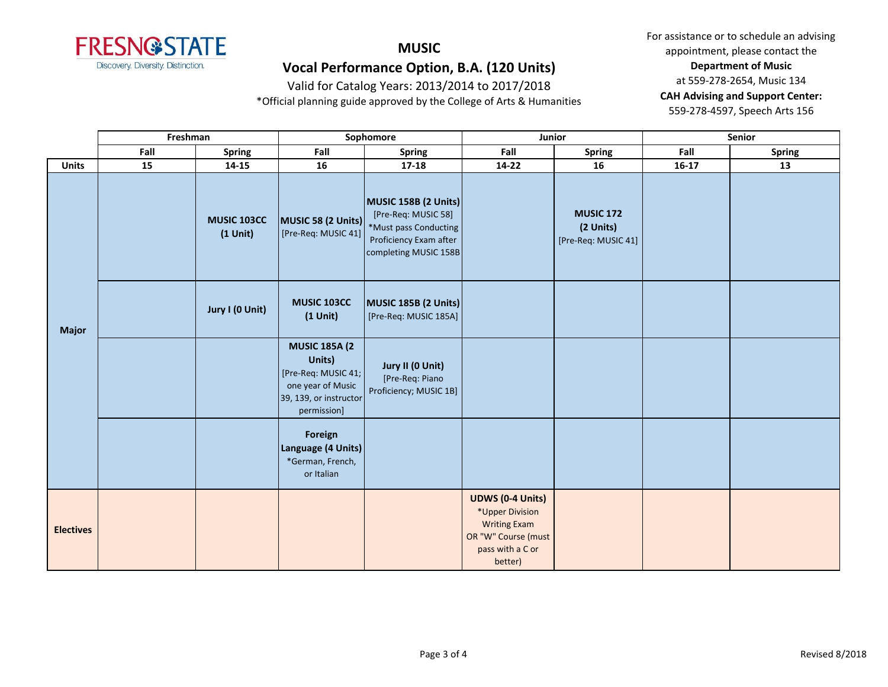

## **Vocal Performance Option, B.A. (120 Units)**

Valid for Catalog Years: 2013/2014 to 2017/2018

\*Official planning guide approved by the College of Arts & Humanities

|                  | Freshman |                           |                                                                                                                     | Sophomore                                                                                                               | Junior                                                                                                                  |                                                      |         | Senior        |
|------------------|----------|---------------------------|---------------------------------------------------------------------------------------------------------------------|-------------------------------------------------------------------------------------------------------------------------|-------------------------------------------------------------------------------------------------------------------------|------------------------------------------------------|---------|---------------|
|                  | Fall     | <b>Spring</b>             | Fall                                                                                                                | <b>Spring</b>                                                                                                           | Fall                                                                                                                    | <b>Spring</b>                                        | Fall    | <b>Spring</b> |
| <b>Units</b>     | 15       | 14-15                     | 16                                                                                                                  | $17 - 18$                                                                                                               | $14 - 22$                                                                                                               | 16                                                   | $16-17$ | 13            |
| <b>Major</b>     |          | MUSIC 103CC<br>$(1$ Unit) | MUSIC 58 (2 Units)<br>[Pre-Req: MUSIC 41]                                                                           | MUSIC 158B (2 Units)<br>[Pre-Req: MUSIC 58]<br>*Must pass Conducting<br>Proficiency Exam after<br>completing MUSIC 158B |                                                                                                                         | <b>MUSIC 172</b><br>(2 Units)<br>[Pre-Req: MUSIC 41] |         |               |
|                  |          | Jury I (0 Unit)           | MUSIC 103CC<br>$(1$ Unit)                                                                                           | MUSIC 185B (2 Units)<br>[Pre-Req: MUSIC 185A]                                                                           |                                                                                                                         |                                                      |         |               |
|                  |          |                           | <b>MUSIC 185A (2</b><br>Units)<br>[Pre-Req: MUSIC 41;<br>one year of Music<br>39, 139, or instructor<br>permission] | Jury II (0 Unit)<br>[Pre-Req: Piano<br>Proficiency; MUSIC 1B]                                                           |                                                                                                                         |                                                      |         |               |
|                  |          |                           | Foreign<br>Language (4 Units)<br>*German, French,<br>or Italian                                                     |                                                                                                                         |                                                                                                                         |                                                      |         |               |
| <b>Electives</b> |          |                           |                                                                                                                     |                                                                                                                         | <b>UDWS (0-4 Units)</b><br>*Upper Division<br><b>Writing Exam</b><br>OR "W" Course (must<br>pass with a C or<br>better) |                                                      |         |               |